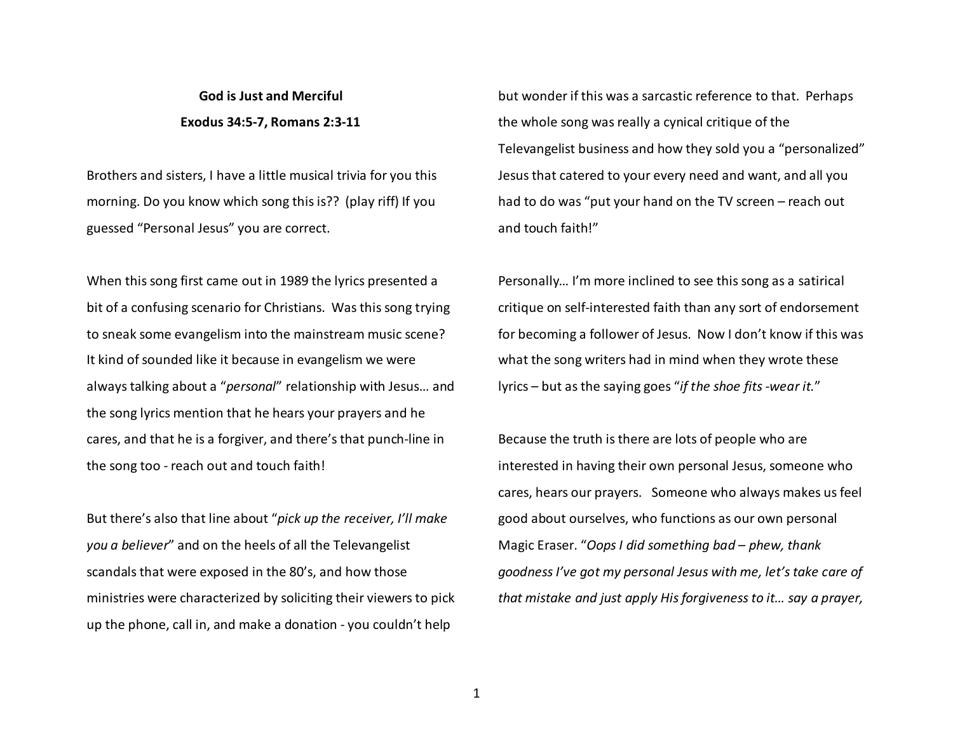## **God is Just and Merciful Exodus 34:5-7, Romans 2:3-11**

Brothers and sisters, I have a little musical trivia for you this morning. Do you know which song this is?? (play riff) If you guessed "Personal Jesus" you are correct.

When this song first came out in 1989 the lyrics presented a bit of a confusing scenario for Christians. Was this song trying to sneak some evangelism into the mainstream music scene? It kind of sounded like it because in evangelism we were always talking about a "*personal*" relationship with Jesus… and the song lyrics mention that he hears your prayers and he cares, and that he is a forgiver, and there's that punch-line in the song too - reach out and touch faith!

But there's also that line about "*pick up the receiver, I'll make you a believer*" and on the heels of all the Televangelist scandals that were exposed in the 80's, and how thoseministries were characterized by soliciting their viewers to pick up the phone, call in, and make a donation - you couldn't help

but wonder if this was a sarcastic reference to that. Perhaps the whole song was really a cynical critique of theTelevangelist business and how they sold you a "personalized" Jesus that catered to your every need and want, and all you had to do was "put your hand on the TV screen – reach out and touch faith!"

Personally… I'm more inclined to see this song as a satirical critique on self-interested faith than any sort of endorsement for becoming a follower of Jesus. Now I don't know if this was what the song writers had in mind when they wrote these lyrics – but as the saying goes "*if the shoe fits -wear it.*"

Because the truth is there are lots of people who are interested in having their own personal Jesus, someone who cares, hears our prayers. Someone who always makes us feel good about ourselves, who functions as our own personal Magic Eraser. "*Oops I did something bad – phew, thank goodness I've got my personal Jesus with me, let's take care of that mistake and just apply His forgiveness to it… say a prayer,*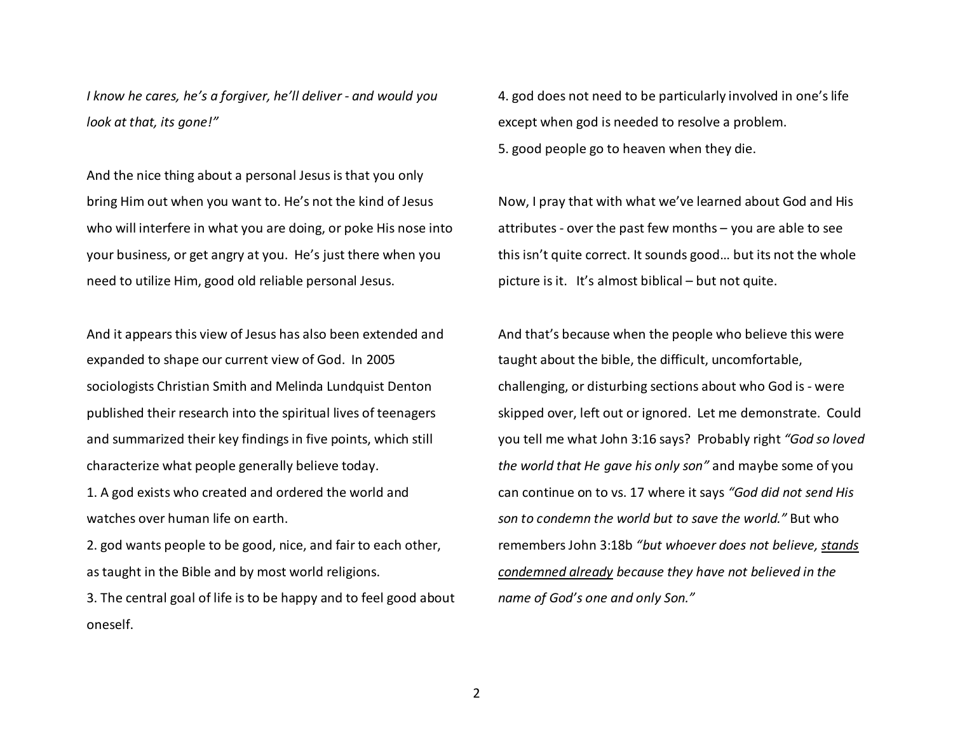*I know he cares, he's a forgiver, he'll deliver - and would you look at that, its gone!"* 

And the nice thing about a personal Jesus is that you only bring Him out when you want to. He's not the kind of Jesus who will interfere in what you are doing, or poke His nose into your business, or get angry at you. He's just there when you need to utilize Him, good old reliable personal Jesus.

And it appears this view of Jesus has also been extended and expanded to shape our current view of God. In 2005sociologists Christian Smith and Melinda Lundquist Denton published their research into the spiritual lives of teenagers and summarized their key findings in five points, which still characterize what people generally believe today.

1. A god exists who created and ordered the world and watches over human life on earth.

2. god wants people to be good, nice, and fair to each other, as taught in the Bible and by most world religions.

3. The central goal of life is to be happy and to feel good about oneself.

4. god does not need to be particularly involved in one's life except when god is needed to resolve a problem. 5. good people go to heaven when they die.

Now, I pray that with what we've learned about God and His attributes - over the past few months – you are able to see this isn't quite correct. It sounds good… but its not the whole picture is it. It's almost biblical – but not quite.

And that's because when the people who believe this were taught about the bible, the difficult, uncomfortable, challenging, or disturbing sections about who God is - were skipped over, left out or ignored. Let me demonstrate. Could you tell me what John 3:16 says? Probably right *"God so loved the world that He gave his only son"* and maybe some of you can continue on to vs. 17 where it says *"God did not send His son to condemn the world but to save the world."* But who remembers John 3:18b *"but whoever does not believe, stands condemned already because they have not believed in the name of God's one and only Son."*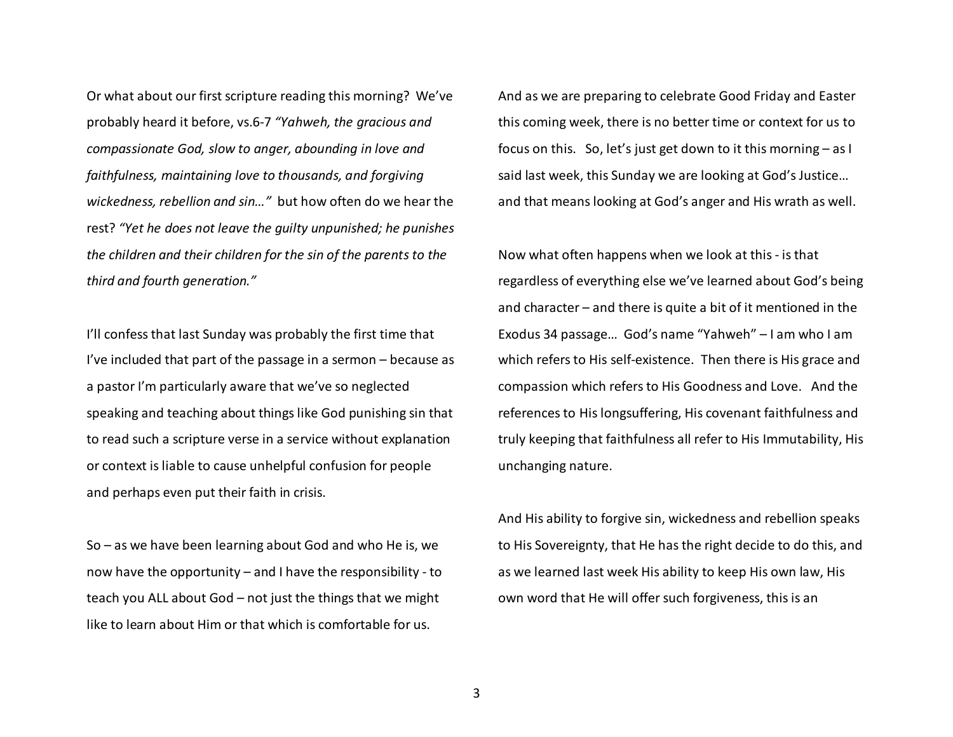Or what about our first scripture reading this morning? We've probably heard it before, vs.6-7 *"Yahweh, the gracious and compassionate God, slow to anger, abounding in love and faithfulness, maintaining love to thousands, and forgiving wickedness, rebellion and sin…"* but how often do we hear the rest? *"Yet he does not leave the guilty unpunished; he punishes the children and their children for the sin of the parents to the third and fourth generation."*

I'll confess that last Sunday was probably the first time that I've included that part of the passage in a sermon – because as a pastor I'm particularly aware that we've so neglected speaking and teaching about things like God punishing sin that to read such a scripture verse in a service without explanation or context is liable to cause unhelpful confusion for people and perhaps even put their faith in crisis.

So – as we have been learning about God and who He is, we now have the opportunity – and I have the responsibility - to teach you ALL about God – not just the things that we might like to learn about Him or that which is comfortable for us.

And as we are preparing to celebrate Good Friday and Easter this coming week, there is no better time or context for us to focus on this. So, let's just get down to it this morning – as I said last week, this Sunday we are looking at God's Justice… and that means looking at God's anger and His wrath as well.

Now what often happens when we look at this - is that regardless of everything else we've learned about God's being and character – and there is quite a bit of it mentioned in the Exodus 34 passage… God's name "Yahweh" – I am who I am which refers to His self-existence. Then there is His grace and compassion which refers to His Goodness and Love. And the references to His longsuffering, His covenant faithfulness and truly keeping that faithfulness all refer to His Immutability, His unchanging nature.

And His ability to forgive sin, wickedness and rebellion speaks to His Sovereignty, that He has the right decide to do this, and as we learned last week His ability to keep His own law, His own word that He will offer such forgiveness, this is an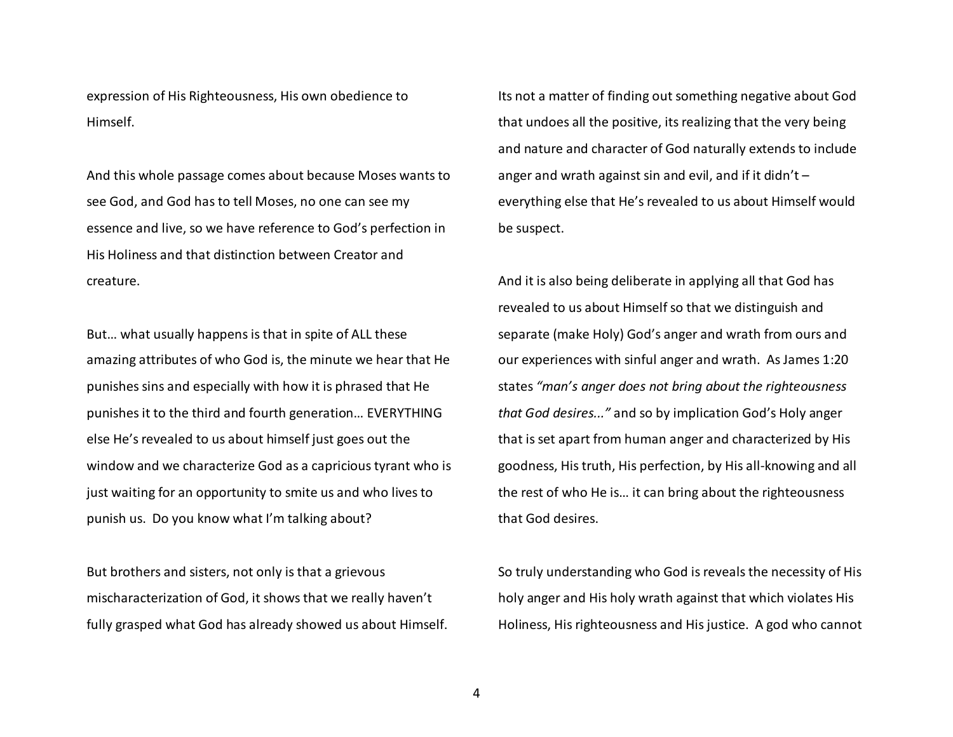expression of His Righteousness, His own obedience to Himself.

And this whole passage comes about because Moses wants to see God, and God has to tell Moses, no one can see myessence and live, so we have reference to God's perfection in His Holiness and that distinction between Creator and creature.

But… what usually happens is that in spite of ALL these amazing attributes of who God is, the minute we hear that He punishes sins and especially with how it is phrased that He punishes it to the third and fourth generation… EVERYTHING else He's revealed to us about himself just goes out the window and we characterize God as a capricious tyrant who is just waiting for an opportunity to smite us and who lives to punish us. Do you know what I'm talking about?

But brothers and sisters, not only is that a grievous mischaracterization of God, it shows that we really haven't fully grasped what God has already showed us about Himself.

Its not a matter of finding out something negative about God that undoes all the positive, its realizing that the very being and nature and character of God naturally extends to include anger and wrath against sin and evil, and if it didn't  $$ everything else that He's revealed to us about Himself would be suspect.

And it is also being deliberate in applying all that God has revealed to us about Himself so that we distinguish and separate (make Holy) God's anger and wrath from ours and our experiences with sinful anger and wrath. As James 1:20 states *"man's anger does not bring about the righteousnessthat God desires..."* and so by implication God's Holy anger that is set apart from human anger and characterized by His goodness, His truth, His perfection, by His all-knowing and all the rest of who He is… it can bring about the righteousness that God desires.

So truly understanding who God is reveals the necessity of His holy anger and His holy wrath against that which violates His Holiness, His righteousness and His justice. A god who cannot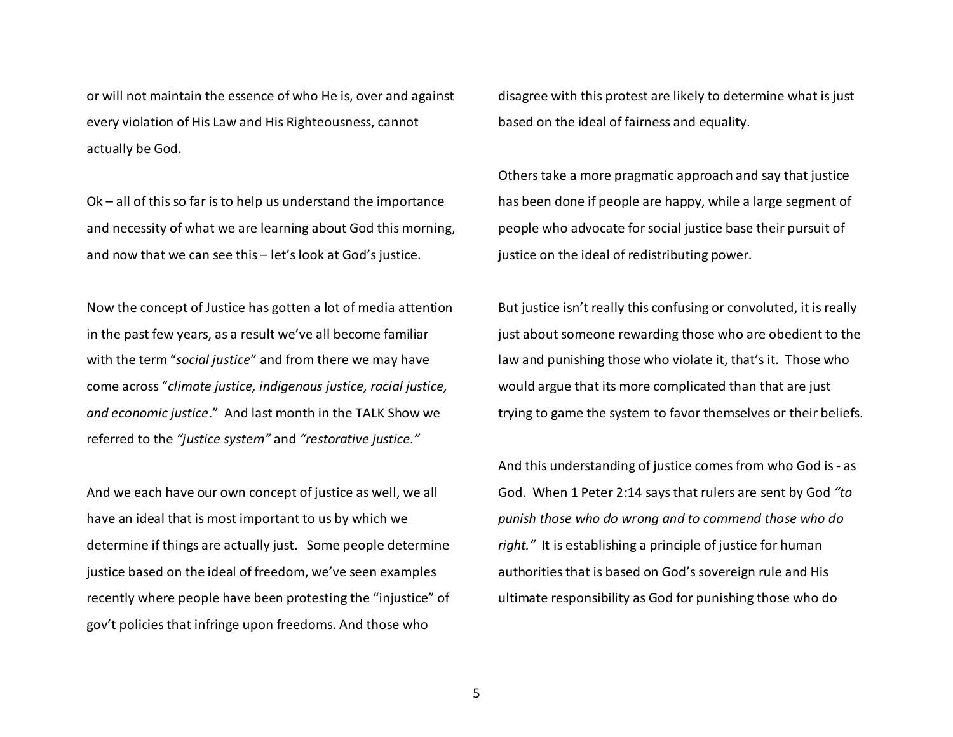or will not maintain the essence of who He is, over and against every violation of His Law and His Righteousness, cannot actually be God.

Ok – all of this so far is to help us understand the importance and necessity of what we are learning about God this morning, and now that we can see this – let's look at God's justice.

Now the concept of Justice has gotten a lot of media attention in the past few years, as a result we've all become familiar with the term "*social justice*" and from there we may have come across "*climate justice, indigenous justice, racial justice, and economic justice*." And last month in the TALK Show we referred to the *"justice system"* and *"restorative justice."*

And we each have our own concept of justice as well, we all have an ideal that is most important to us by which we determine if things are actually just. Some people determine justice based on the ideal of freedom, we've seen examples recently where people have been protesting the "injustice" of gov't policies that infringe upon freedoms. And those who

disagree with this protest are likely to determine what is just based on the ideal of fairness and equality.

Others take a more pragmatic approach and say that justice has been done if people are happy, while a large segment of people who advocate for social justice base their pursuit of justice on the ideal of redistributing power.

But justice isn't really this confusing or convoluted, it is really just about someone rewarding those who are obedient to the law and punishing those who violate it, that's it. Those who would argue that its more complicated than that are just trying to game the system to favor themselves or their beliefs.

And this understanding of justice comes from who God is - as God. When 1 Peter 2:14 says that rulers are sent by God *"to punish those who do wrong and to commend those who do right."* It is establishing a principle of justice for human authorities that is based on God's sovereign rule and His ultimate responsibility as God for punishing those who do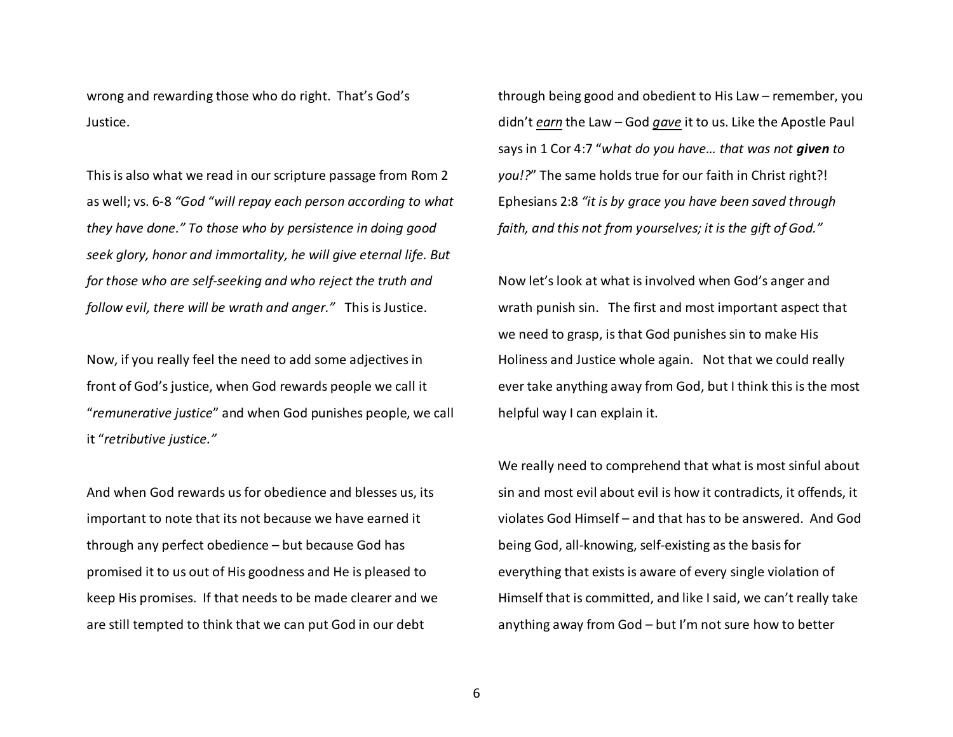wrong and rewarding those who do right. That's God'sJustice.

This is also what we read in our scripture passage from Rom 2 as well; vs. 6-8 *"God "will repay each person according to what they have done." To those who by persistence in doing good seek glory, honor and immortality, he will give eternal life. But for those who are self-seeking and who reject the truth and follow evil, there will be wrath and anger."* This is Justice.

Now, if you really feel the need to add some adjectives in front of God's justice, when God rewards people we call it "*remunerative justice*" and when God punishes people, we call it "*retributive justice."*

And when God rewards us for obedience and blesses us, its important to note that its not because we have earned it through any perfect obedience – but because God haspromised it to us out of His goodness and He is pleased to keep His promises. If that needs to be made clearer and we are still tempted to think that we can put God in our debt

through being good and obedient to His Law – remember, you didn't *earn* the Law – God *gave* it to us. Like the Apostle Paul says in 1 Cor 4:7 "*what do you have… that was not given to you!?*" The same holds true for our faith in Christ right?! Ephesians 2:8 *"it is by grace you have been saved through faith, and this not from yourselves; it is the gift of God."*

Now let's look at what is involved when God's anger and wrath punish sin. The first and most important aspect that we need to grasp, is that God punishes sin to make His Holiness and Justice whole again. Not that we could really ever take anything away from God, but I think this is the most helpful way I can explain it.

We really need to comprehend that what is most sinful about sin and most evil about evil is how it contradicts, it offends, it violates God Himself – and that has to be answered. And God being God, all-knowing, self-existing as the basis for everything that exists is aware of every single violation of Himself that is committed, and like I said, we can't really take anything away from God – but I'm not sure how to better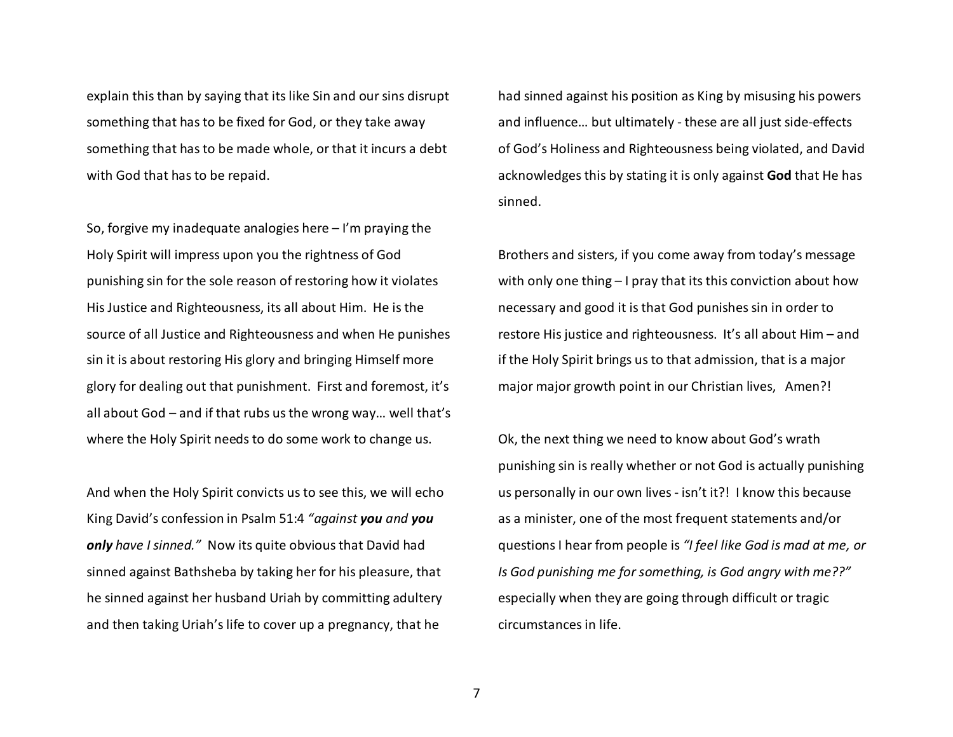explain this than by saying that its like Sin and our sins disrupt something that has to be fixed for God, or they take away something that has to be made whole, or that it incurs a debt with God that has to be repaid.

So, forgive my inadequate analogies here – I'm praying the Holy Spirit will impress upon you the rightness of God punishing sin for the sole reason of restoring how it violates His Justice and Righteousness, its all about Him. He is the source of all Justice and Righteousness and when He punishes sin it is about restoring His glory and bringing Himself more glory for dealing out that punishment. First and foremost, it's all about God – and if that rubs us the wrong way… well that's where the Holy Spirit needs to do some work to change us.

And when the Holy Spirit convicts us to see this, we will echo King David's confession in Psalm 51:4 *"against you and you only have I sinned."* Now its quite obvious that David had sinned against Bathsheba by taking her for his pleasure, that he sinned against her husband Uriah by committing adultery and then taking Uriah's life to cover up a pregnancy, that he

had sinned against his position as King by misusing his powers and influence… but ultimately - these are all just side-effects of God's Holiness and Righteousness being violated, and David acknowledges this by stating it is only against **God** that He has sinned.

Brothers and sisters, if you come away from today's message with only one thing – I pray that its this conviction about how necessary and good it is that God punishes sin in order to restore His justice and righteousness. It's all about Him – and if the Holy Spirit brings us to that admission, that is a major major major growth point in our Christian lives, Amen?!

Ok, the next thing we need to know about God's wrath punishing sin is really whether or not God is actually punishing us personally in our own lives - isn't it?! I know this because as a minister, one of the most frequent statements and/or questions I hear from people is *"I feel like God is mad at me, or Is God punishing me for something, is God angry with me??"* especially when they are going through difficult or tragic circumstances in life.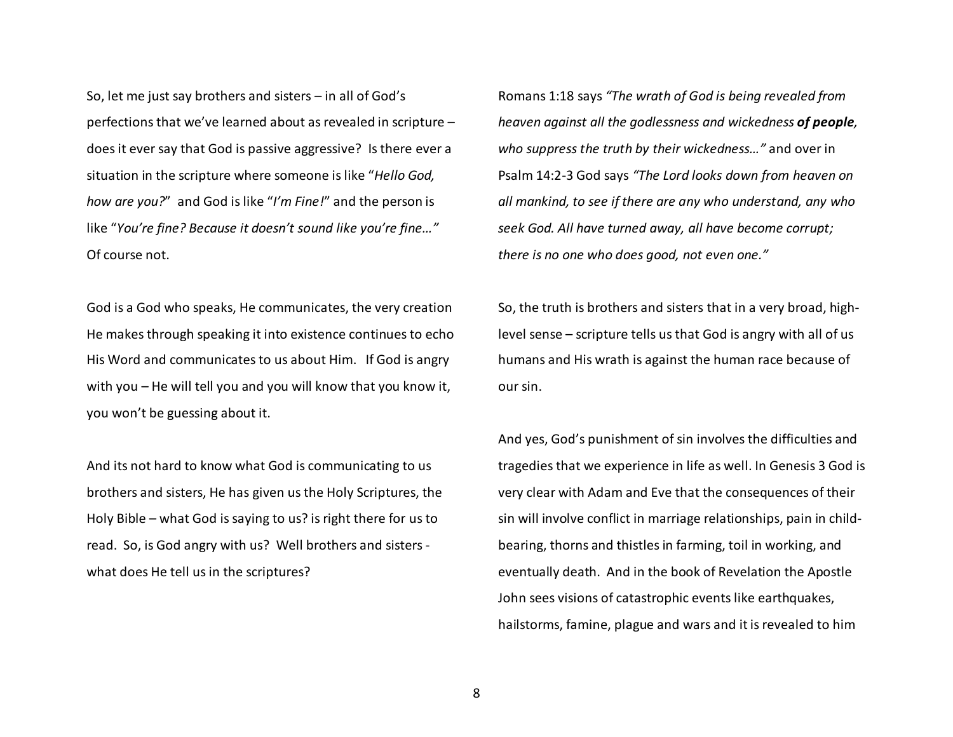So, let me just say brothers and sisters – in all of God's perfections that we've learned about as revealed in scripture – does it ever say that God is passive aggressive? Is there ever a situation in the scripture where someone is like "*Hello God, how are you?*" and God is like "*I'm Fine!*" and the person is like "*You're fine? Because it doesn't sound like you're fine…"*Of course not.

God is a God who speaks, He communicates, the very creation He makes through speaking it into existence continues to echo His Word and communicates to us about Him. If God is angry with you – He will tell you and you will know that you know it, you won't be guessing about it.

And its not hard to know what God is communicating to us brothers and sisters, He has given us the Holy Scriptures, the Holy Bible – what God is saying to us? is right there for us to read. So, is God angry with us? Well brothers and sisters what does He tell us in the scriptures?

Romans 1:18 says *"The wrath of God is being revealed from heaven against all the godlessness and wickedness of people, who suppress the truth by their wickedness…"* and over in Psalm 14:2-3 God says *"The Lord looks down from heaven on all mankind, to see if there are any who understand, any who seek God. All have turned away, all have become corrupt; there is no one who does good, not even one."*

So, the truth is brothers and sisters that in a very broad, highlevel sense – scripture tells us that God is angry with all of us humans and His wrath is against the human race because of our sin.

And yes, God's punishment of sin involves the difficulties and tragedies that we experience in life as well. In Genesis 3 God is very clear with Adam and Eve that the consequences of their sin will involve conflict in marriage relationships, pain in childbearing, thorns and thistles in farming, toil in working, and eventually death. And in the book of Revelation the Apostle John sees visions of catastrophic events like earthquakes, hailstorms, famine, plague and wars and it is revealed to him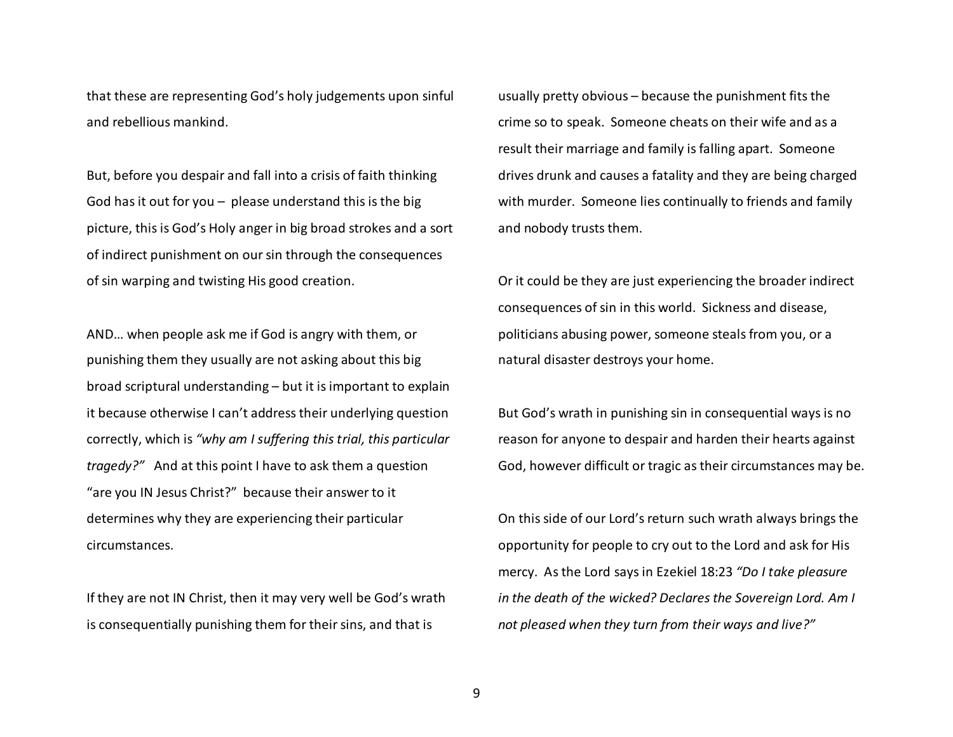that these are representing God's holy judgements upon sinful and rebellious mankind.

But, before you despair and fall into a crisis of faith thinking God has it out for you  $-$  please understand this is the big picture, this is God's Holy anger in big broad strokes and a sort of indirect punishment on our sin through the consequences of sin warping and twisting His good creation.

AND… when people ask me if God is angry with them, or punishing them they usually are not asking about this big broad scriptural understanding – but it is important to explain it because otherwise I can't address their underlying question correctly, which is *"why am I suffering this trial, this particular tragedy?"* And at this point I have to ask them a question "are you IN Jesus Christ?" because their answer to it determines why they are experiencing their particular circumstances.

If they are not IN Christ, then it may very well be God's wrath is consequentially punishing them for their sins, and that is

usually pretty obvious – because the punishment fits the crime so to speak. Someone cheats on their wife and as a result their marriage and family is falling apart. Someone drives drunk and causes a fatality and they are being charged with murder. Someone lies continually to friends and family and nobody trusts them.

Or it could be they are just experiencing the broader indirect consequences of sin in this world. Sickness and disease, politicians abusing power, someone steals from you, or a natural disaster destroys your home.

But God's wrath in punishing sin in consequential ways is no reason for anyone to despair and harden their hearts against God, however difficult or tragic as their circumstances may be.

On this side of our Lord's return such wrath always brings the opportunity for people to cry out to the Lord and ask for His mercy. As the Lord says in Ezekiel 18:23 *"Do I take pleasure in the death of the wicked? Declares the Sovereign Lord. Am I not pleased when they turn from their ways and live?"*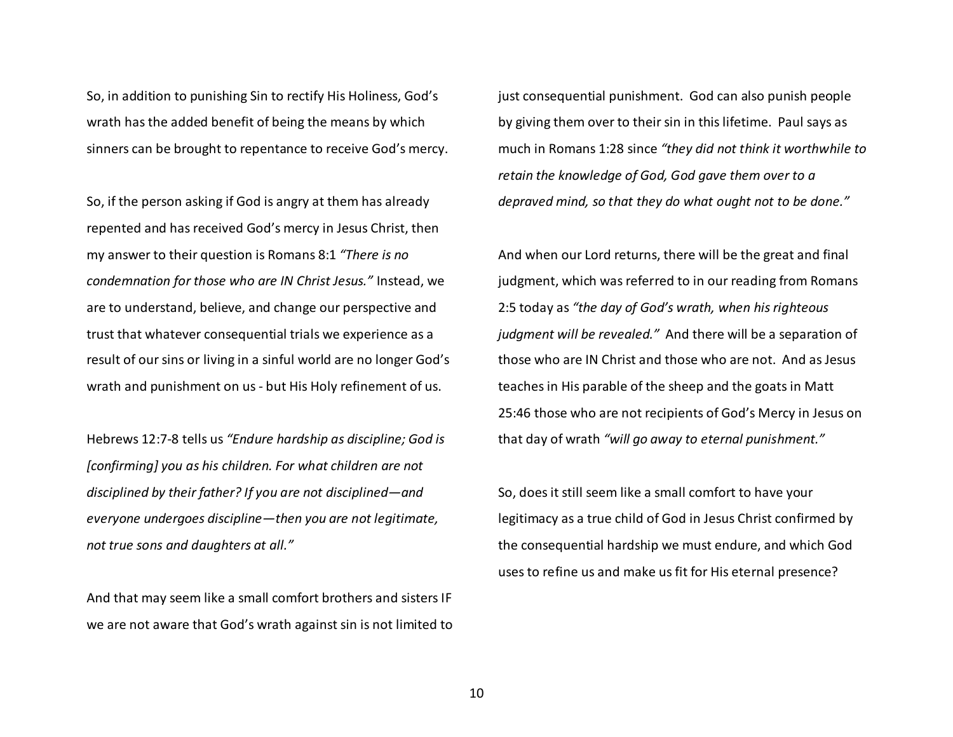So, in addition to punishing Sin to rectify His Holiness, God's wrath has the added benefit of being the means by which sinners can be brought to repentance to receive God's mercy.

So, if the person asking if God is angry at them has already repented and has received God's mercy in Jesus Christ, then my answer to their question is Romans 8:1 *"There is no condemnation for those who are IN Christ Jesus."* Instead, we are to understand, believe, and change our perspective and trust that whatever consequential trials we experience as a result of our sins or living in a sinful world are no longer God's wrath and punishment on us - but His Holy refinement of us.

Hebrews 12:7-8 tells us *"Endure hardship as discipline; God is [confirming] you as his children. For what children are not disciplined by their father? If you are not disciplined—and everyone undergoes discipline—then you are not legitimate, not true sons and daughters at all."*

And that may seem like a small comfort brothers and sisters IF we are not aware that God's wrath against sin is not limited to just consequential punishment. God can also punish people by giving them over to their sin in this lifetime. Paul says as much in Romans 1:28 since *"they did not think it worthwhile to retain the knowledge of God, God gave them over to a depraved mind, so that they do what ought not to be done."*

And when our Lord returns, there will be the great and final judgment, which was referred to in our reading from Romans 2:5 today as *"the day of God's wrath, when his righteous judgment will be revealed."* And there will be a separation of those who are IN Christ and those who are not. And as Jesus teaches in His parable of the sheep and the goats in Matt 25:46 those who are not recipients of God's Mercy in Jesus on that day of wrath *"will go away to eternal punishment."*

So, does it still seem like a small comfort to have your legitimacy as a true child of God in Jesus Christ confirmed by the consequential hardship we must endure, and which God uses to refine us and make us fit for His eternal presence?